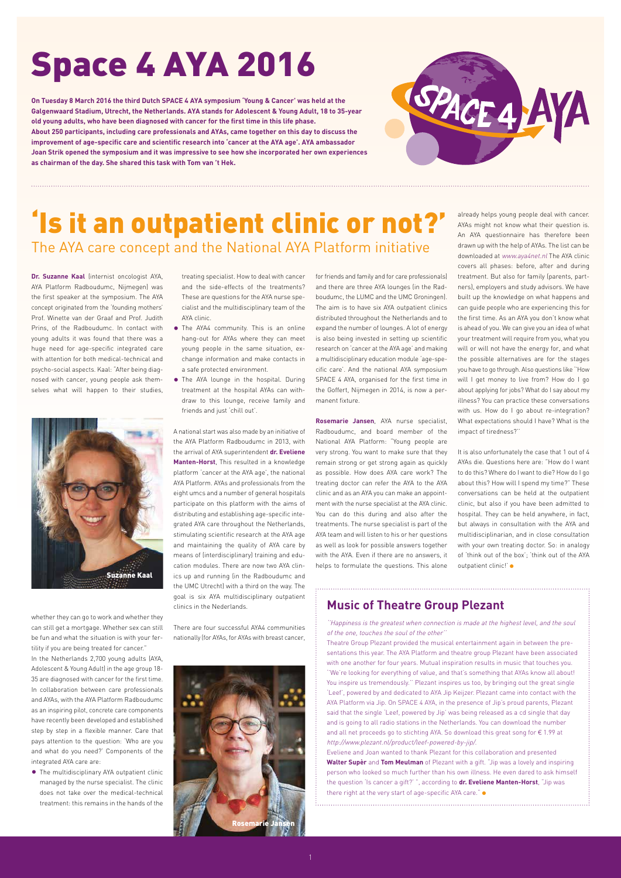**Dr. Suzanne Kaal** (internist oncologist AYA, AYA Platform Radboudumc, Nijmegen) was the first speaker at the symposium. The AYA concept originated from the 'founding mothers' Prof. Winette van der Graaf and Prof. Judith Prins, of the Radboudumc. In contact with young adults it was found that there was a huge need for age-specific integrated care with attention for both medical-technical and psycho-social aspects. Kaal: "After being diagnosed with cancer, young people ask themselves what will happen to their studies,

whether they can go to work and whether they can still get a mortgage. Whether sex can still be fun and what the situation is with your fertility if you are being treated for cancer." In the Netherlands 2,700 young adults (AYA,

Adolescent & Young Adult) in the age group 18- 35 are diagnosed with cancer for the first time. In collaboration between care professionals and AYAs, with the AYA Platform Radboudumc as an inspiring pilot, concrete care components have recently been developed and established step by step in a flexible manner. Care that pays attention to the question: 'Who are you and what do you need?' Components of the integrated AYA care are:

• The multidisciplinary AYA outpatient clinic managed by the nurse specialist. The clinic does not take over the medical-technical treatment: this remains in the hands of the

treating specialist. How to deal with cancer and the side-effects of the treatments? These are questions for the AYA nurse specialist and the multidisciplinary team of the AYA clinic.

- The AYA4 community. This is an online hang-out for AYAs where they can meet young people in the same situation, exchange information and make contacts in a safe protected environment.
- The AYA lounge in the hospital. During treatment at the hospital AYAs can withdraw to this lounge, receive family and friends and just 'chill out'.

A national start was also made by an initiative of the AYA Platform Radboudumc in 2013, with the arrival of AYA superintendent **dr. Eveliene Manten-Horst**, This resulted in a knowledge platform 'cancer at the AYA age', the national AYA Platform. AYAs and professionals from the eight umcs and a number of general hospitals participate on this platform with the aims of distributing and establishing age-specific integrated AYA care throughout the Netherlands, stimulating scientific research at the AYA age and maintaining the quality of AYA care by means of (interdisciplinary) training and education modules. There are now two AYA clinics up and running (in the Radboudumc and the UMC Utrecht) with a third on the way. The goal is six AYA multidisciplinary outpatient clinics in the Nederlands.

It is also unfortunately the case that 1 out of 4 AYAs die. Questions here are: "How do I want to do this? Where do I want to die? How do I go about this? How will I spend my time?" These conversations can be held at the outpatient clinic, but also if you have been admitted to hospital. They can be held anywhere, in fact, but always in consultation with the AYA and multidisciplinarian, and in close consultation with your own treating doctor. So: in analogy of 'think out of the box'; 'think out of the AYA outpatient clinic!' ·

There are four successful AYA4 communities nationally (for AYAs, for AYAs with breast cancer, for friends and family and for care professionals) and there are three AYA lounges (in the Radboudumc, the LUMC and the UMC Groningen). The aim is to have six AYA outpatient clinics distributed throughout the Netherlands and to expand the number of lounges. A lot of energy is also being invested in setting up scientific research on 'cancer at the AYA age' and making a multidisciplinary education module 'age-specific care'. And the national AYA symposium SPACE 4 AYA, organised for the first time in the Goffert, Nijmegen in 2014, is now a permanent fixture.

Theatre Group Plezant provided the musical entertainment again in between the presentations this year. The AYA Platform and theatre group Plezant have been associated  $\overline{\phantom{\alpha}}$  one another for four years. Mutual inspiration results in music that touches you. ''We're looking for everything of value, and that's something that AYAs know all about! You inspire us tremendously.'' Plezant inspires us too, by bringing out the great single 'Leef', powered by and dedicated to AYA Jip Keijzer. Plezant came into contact with the AYA Platform via Jip. On SPACE 4 AYA, in the presence of Jip's proud parents, Plezant said that the single 'Leef, powered by Jip' was being released as a cd single that day and is going to all radio stations in the Netherlands. You can download the number and all net proceeds go to stichting AYA. So download this great song for € 1.99 at http://www.plezant.nl/product/leef-powered-by-jip/. Eveliene and Joan wanted to thank Plezant for this collaboration and presented **Walter Supèr** and **Tom Meulman** of Plezant with a gift. "Jip was a lovely and inspiring person who looked so much further than his own illness. He even dared to ask himself the question 'Is cancer a gift?' ", according to **dr. Eveliene Manten-Horst**, "Jip was there right at the very start of age-specific AYA care."  $\bullet$ 

**Rosemarie Jansen**, AYA nurse specialist, Radboudumc, and board member of the National AYA Platform: "Young people are very strong. You want to make sure that they remain strong or get strong again as quickly as possible. How does AYA care work? The treating doctor can refer the AYA to the AYA clinic and as an AYA you can make an appointment with the nurse specialist at the AYA clinic. You can do this during and also after the treatments. The nurse specialist is part of the AYA team and will listen to his or her questions as well as look for possible answers together with the AYA. Even if there are no answers, it helps to formulate the questions. This alone

already helps young people deal with cancer. AYAs might not know what their question is. An AYA questionnaire has therefore been drawn up with the help of AYAs. The list can be downloaded at www.aya4net.nl The AYA clinic covers all phases: before, after and during treatment. But also for family (parents, partners), employers and study advisors. We have built up the knowledge on what happens and can guide people who are experiencing this for the first time. As an AYA you don't know what is ahead of you. We can give you an idea of what your treatment will require from you, what you will or will not have the energy for, and what the possible alternatives are for the stages you have to go through. Also questions like ''How will I get money to live from? How do I go about applying for jobs? What do I say about my illness? You can practice these conversations with us. How do I go about re-integration? What expectations should I have? What is the impact of tiredness?''

## 'Is it an outpatient clinic or not?' The AYA care concept and the National AYA Platform initiative

# Space 4 AYA 2016

**On Tuesday 8 March 2016 the third Dutch SPACE 4 AYA symposium 'Young & Cancer' was held at the Galgenwaard Stadium, Utrecht, the Netherlands. AYA stands for Adolescent & Young Adult, 18 to 35-year old young adults, who have been diagnosed with cancer for the first time in this life phase. About 250 participants, including care professionals and AYAs, came together on this day to discuss the improvement of age-specific care and scientific research into 'cancer at the AYA age'. AYA ambassador Joan Strik opened the symposium and it was impressive to see how she incorporated her own experiences as chairman of the day. She shared this task with Tom van 't Hek.**



### **Music of Theatre Group Plezant**

''Happiness is the greatest when connection is made at the highest level, and the soul of the one, touches the soul of the other''



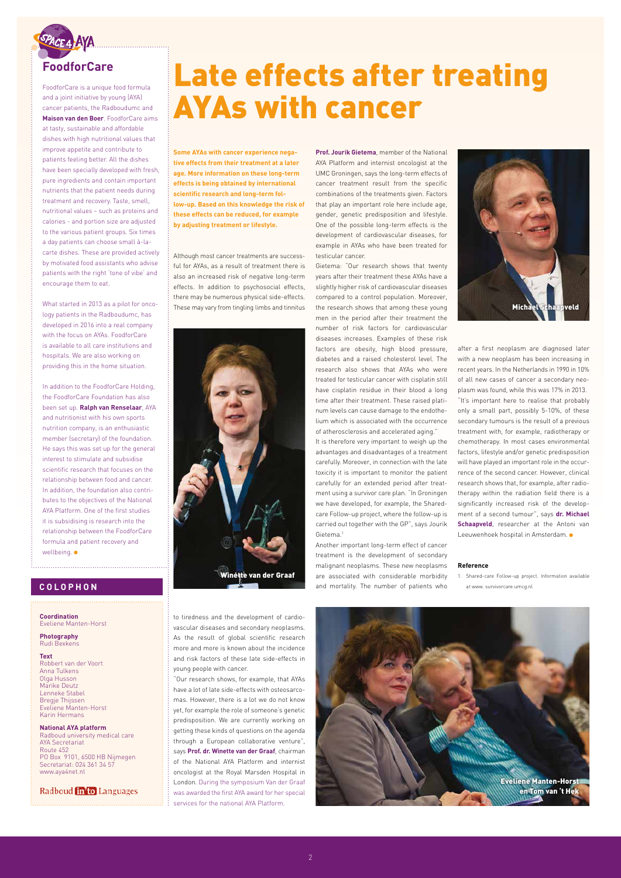**Some AYAs with cancer experience negative effects from their treatment at a later age. More information on these long-term effects is being obtained by international scientific research and long-term follow-up. Based on this knowledge the risk of these effects can be reduced, for example by adjusting treatment or lifestyle.**

Although most cancer treatments are successful for AYAs, as a result of treatment there is also an increased risk of negative long-term effects. In addition to psychosocial effects, there may be numerous physical side-effects. These may vary from tingling limbs and tinnitus

to tiredness and the development of cardiovascular diseases and secondary neoplasms. As the result of global scientific research more and more is known about the incidence and risk factors of these late side-effects in

young people with cancer.

"Our research shows, for example, that AYAs have a lot of late side-effects with osteosarcomas. However, there is a lot we do not know yet, for example the role of someone's genetic predisposition. We are currently working on getting these kinds of questions on the agenda through a European collaborative venture", says **Prof. dr. Winette van der Graaf**, chairman of the National AYA Platform and internist oncologist at the Royal Marsden Hospital in London. During the symposium Van der Graaf was awarded the first AYA award for her special services for the national AYA Platform.

**Prof. Jourik Gietema**, member of the National AYA Platform and internist oncologist at the UMC Groningen, says the long-term effects of cancer treatment result from the specific combinations of the treatments given. Factors that play an important role here include age, gender, genetic predisposition and lifestyle. One of the possible long-term effects is the development of cardiovascular diseases, for example in AYAs who have been treated for testicular cancer.

Gietema: "Our research shows that twenty years after their treatment these AYAs have a slightly higher risk of cardiovascular diseases compared to a control population. Moreover, the research shows that among these young men in the period after their treatment the number of risk factors for cardiovascular diseases increases. Examples of these risk factors are obesity, high blood pressure, diabetes and a raised cholesterol level. The research also shows that AYAs who were treated for testicular cancer with cisplatin still have cisplatin residue in their blood a long time after their treatment. These raised platinum levels can cause damage to the endothelium which is associated with the occurrence of atherosclerosis and accelerated aging."

It is therefore very important to weigh up the advantages and disadvantages of a treatment carefully. Moreover, in connection with the late toxicity it is important to monitor the patient carefully for an extended period after treatment using a survivor care plan. "In Groningen we have developed, for example, the Sharedcare Follow-up project, where the follow-up is carried out together with the GP", says Jourik Gietema.1

Another important long-term effect of cancer treatment is the development of secondary malignant neoplasms. These new neoplasms are associated with considerable morbidity and mortality. The number of patients who

after a first neoplasm are diagnosed later with a new neoplasm has been increasing in recent years. In the Netherlands in 1990 in 10% of all new cases of cancer a secondary neoplasm was found, while this was 17% in 2013. "It's important here to realise that probably only a small part, possibly 5-10%, of these secondary tumours is the result of a previous treatment with, for example, radiotherapy or chemotherapy. In most cases environmental factors, lifestyle and/or genetic predisposition will have played an important role in the occurrence of the second cancer. However, clinical research shows that, for example, after radiotherapy within the radiation field there is a significantly increased risk of the development of a second tumour", says **dr. Michael Schaapveld**, researcher at the Antoni van Leeuwenhoek hospital in Amsterdam.

#### **Reference**

1. Shared-care Follow-up project. Information available at www. survivorcare.umcg.nl



FoodforCare is a unique food formula and a joint initiative by young (AYA) cancer patients, the Radboudumc and **Maison van den Boer**. FoodforCare aims at tasty, sustainable and affordable dishes with high nutritional values that improve appetite and contribute to patients feeling better. All the dishes have been specially developed with fresh, pure ingredients and contain important nutrients that the patient needs during treatment and recovery. Taste, smell, nutritional values – such as proteins and calories - and portion size are adjusted to the various patient groups. Six times a day patients can choose small à-lacarte dishes. These are provided actively by motivated food assistants who advise patients with the right 'tone of vibe' and encourage them to eat.

What started in 2013 as a pilot for oncology patients in the Radboudumc, has developed in 2016 into a real company with the focus on AYAs. FoodforCare is available to all care institutions and hospitals. We are also working on providing this in the home situation.

In addition to the FoodforCare Holding, the FoodforCare Foundation has also been set up. **Ralph van Renselaar**, AYA and nutritionist with his own sports nutrition company, is an enthusiastic member (secretary) of the foundation. He says this was set up for the general interest to stimulate and subsidise scientific research that focuses on the relationship between food and cancer. In addition, the foundation also contributes to the objectives of the National AYA Platform. One of the first studies it is subsidising is research into the relationship between the FoodforCare formula and patient recovery and wellbeing.

# Late effects after treating AYAs with cancer





**Coordination** Eveliene Manten-Horst

**Photography** Rudi Bexkens

**Text**

Robbert van der Voort Anna Tulkens Olga Husson Marike Deutz Lenneke Stabel Bregje Thijssen Eveliene Manten-Horst Karin Hermans

**National AYA platform** Radboud university medical care AYA Secretariat Route 452 PO Box 9101, 6500 HB Nijmegen Secretariat: 024 361 34 57 www.aya4net.nl

Radboud **in'to** Languages

#### **COLOPHON**

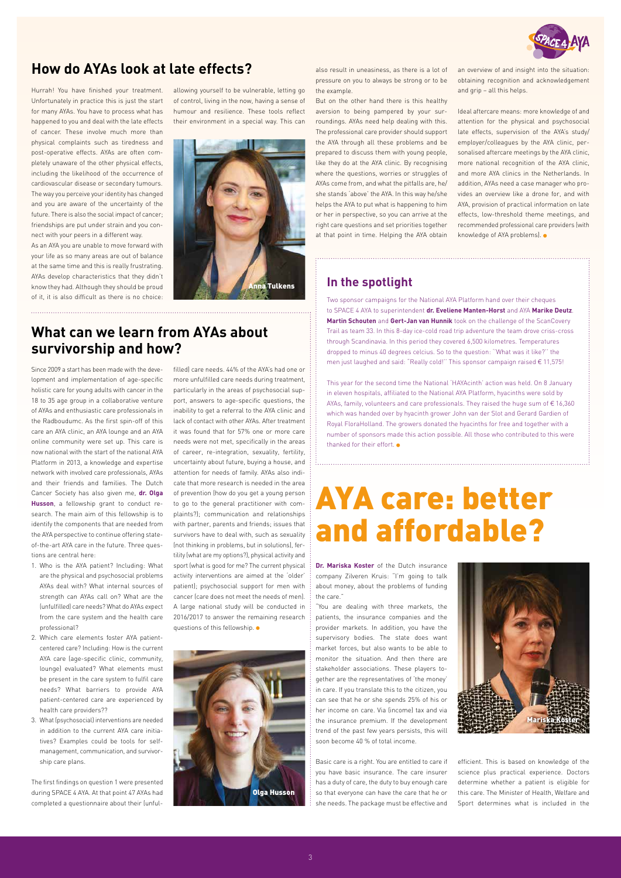Hurrah! You have finished your treatment. Unfortunately in practice this is just the start for many AYAs. You have to process what has happened to you and deal with the late effects of cancer. These involve much more than physical complaints such as tiredness and post-operative effects. AYAs are often completely unaware of the other physical effects, including the likelihood of the occurrence of cardiovascular disease or secondary tumours. The way you perceive your identity has changed and you are aware of the uncertainty of the future. There is also the social impact of cancer; friendships are put under strain and you connect with your peers in a different way.

As an AYA you are unable to move forward with your life as so many areas are out of balance at the same time and this is really frustrating. AYAs develop characteristics that they didn't know they had. Although they should be proud of it, it is also difficult as there is no choice:

allowing yourself to be vulnerable, letting go of control, living in the now, having a sense of humour and resilience. These tools reflect their environment in a special way. This can

#### also result in uneasiness, as there is a lot of pressure on you to always be strong or to be the example.

**Dr. Mariska Koster** of the Dutch insurance company Zilveren Kruis: "I'm going to talk about money, about the problems of funding the care."

But on the other hand there is this healthy aversion to being pampered by your surroundings. AYAs need help dealing with this. The professional care provider should support the AYA through all these problems and be prepared to discuss them with young people, like they do at the AYA clinic. By recognising where the questions, worries or struggles of AYAs come from, and what the pitfalls are, he/ she stands 'above' the AYA. In this way he/she helps the AYA to put what is happening to him or her in perspective, so you can arrive at the right care questions and set priorities together at that point in time. Helping the AYA obtain an overview of and insight into the situation: obtaining recognition and acknowledgement and grip – all this helps.

Ideal aftercare means: more knowledge of and attention for the physical and psychosocial late effects, supervision of the AYA's study/ employer/colleagues by the AYA clinic, personalised aftercare meetings by the AYA clinic, more national recognition of the AYA clinic, and more AYA clinics in the Netherlands. In addition, AYAs need a case manager who provides an overview like a drone for, and with AYA, provision of practical information on late effects, low-threshold theme meetings, and recommended professional care providers (with knowledge of AYA problems).

"You are dealing with three markets, the patients, the insurance companies and the provider markets. In addition, you have the supervisory bodies. The state does want market forces, but also wants to be able to monitor the situation. And then there are stakeholder associations. These players together are the representatives of 'the money' in care. If you translate this to the citizen, you can see that he or she spends 25% of his or her income on care. Via (income) tax and via the insurance premium. If the development trend of the past few years persists, this will soon become 40 % of total income.

Basic care is a right. You are entitled to care if you have basic insurance. The care insurer has a duty of care, the duty to buy enough care so that everyone can have the care that he or she needs. The package must be effective and

efficient. This is based on knowledge of the science plus practical experience. Doctors determine whether a patient is eligible for this care. The Minister of Health, Welfare and Sport determines what is included in the

This year for the second time the National 'HAYAcinth' action was held. On 8 January in eleven hospitals, affiliated to the National AYA Platform, hyacinths were sold by AYAs, family, volunteers and care professionals. They raised the huge sum of  $\epsilon$  16,360 which was handed over by hyacinth grower John van der Slot and Gerard Gardien of Royal FloraHolland. The growers donated the hyacinths for free and together with a number of sponsors made this action possible. All those who contributed to this were thanked for their effort.  $\bullet$ 

Since 2009 a start has been made with the development and implementation of age-specific holistic care for young adults with cancer in the 18 to 35 age group in a collaborative venture of AYAs and enthusiastic care professionals in the Radboudumc. As the first spin-off of this care an AYA clinic, an AYA lounge and an AYA online community were set up. This care is now national with the start of the national AYA Platform in 2013, a knowledge and expertise network with involved care professionals, AYAs and their friends and families. The Dutch Cancer Society has also given me, **dr. Olga Husson**, a fellowship grant to conduct research. The main aim of this fellowship is to identify the components that are needed from the AYA perspective to continue offering stateof-the-art AYA care in the future. Three questions are central here:

- 1. Who is the AYA patient? Including: What are the physical and psychosocial problems AYAs deal with? What internal sources of strength can AYAs call on? What are the (unfulfilled) care needs? What do AYAs expect from the care system and the health care professional?
- 2. Which care elements foster AYA patientcentered care? Including: How is the current AYA care (age-specific clinic, community,

lounge) evaluated? What elements must be present in the care system to fulfil care needs? What barriers to provide AYA patient-centered care are experienced by health care providers??

3. What (psychosocial) interventions are needed in addition to the current AYA care initiatives? Examples could be tools for selfmanagement, communication, and survivorship care plans.

The first findings on question 1 were presented during SPACE 4 AYA. At that point 47 AYAs had completed a questionnaire about their (unful-

filled) care needs. 44% of the AYA's had one or more unfulfilled care needs during treatment, particularly in the areas of psychosocial support, answers to age-specific questions, the inability to get a referral to the AYA clinic and lack of contact with other AYAs. After treatment it was found that for 57% one or more care needs were not met, specifically in the areas of career, re-integration, sexuality, fertility, uncertainty about future, buying a house, and attention for needs of family. AYAs also indicate that more research is needed in the area of prevention (how do you get a young person to go to the general practitioner with complaints?); communication and relationships with partner, parents and friends; issues that survivors have to deal with, such as sexuality (not thinking in problems, but in solutions), fertility (what are my options?), physical activity and sport (what is good for me? The current physical activity interventions are aimed at the 'older' patient); psychosocial support for men with cancer (care does not meet the needs of men). A large national study will be conducted in 2016/2017 to answer the remaining research questions of this fellowship.





## **How do AYAs look at late effects?**

## **What can we learn from AYAs about survivorship and how?**



# AYA care: better and affordable?

### **In the spotlight**

Two sponsor campaigns for the National AYA Platform hand over their cheques to SPACE 4 AYA to superintendent **dr. Eveliene Manten-Horst** and AYA **Marike Deutz**. **Martin Schouten** and **Gert-Jan van Hunnik** took on the challenge of the ScanCovery Trail as team 33. In this 8-day ice-cold road trip adventure the team drove criss-cross through Scandinavia. In this period they covered 6,500 kilometres. Temperatures dropped to minus 40 degrees celcius. So to the question: ''What was it like?'' the men just laughed and said: "Really cold!'' This sponsor campaign raised € 11,575!